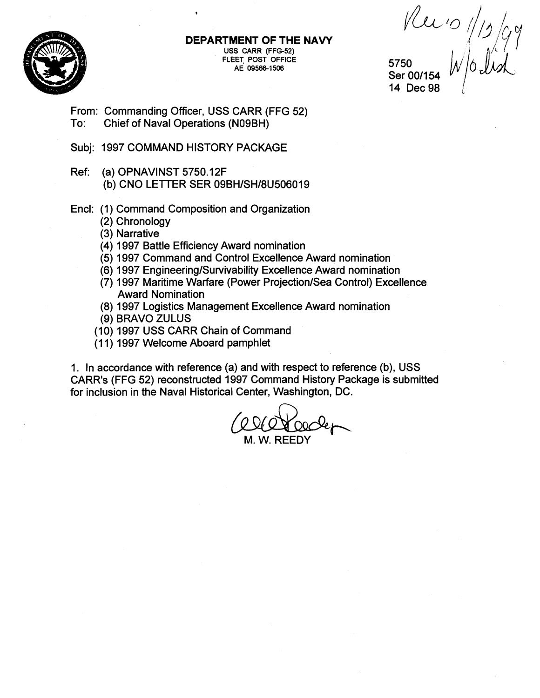

**DEPARTMENT OF THE NAVY USS CARR (FFG-52) FLEET POST OFFICE AE 095661506** 

 $\n *Revo* ||g|_{Q}$ 5750

Ser 00/154 14 Dec 98

From: Commanding Officer, USS CARR (FFG 52) To: Chief of Naval Operations (N09BH)

- Subj: 1997 COMMAND HISTORY PACKAGE
- Ref: (a) OPNAVINST 5750.12F (b) CNO LETTER SER 09BH/SH/8U506019
- Encl: (1) Command Composition and Organization
	- (2) Chronology
	- (3) Narrative
	- (4) 1997 Battle Efficiency Award nomination
	- (5) 1997 Command and Control Excellence Award nomination
	- **(6)** 1997 **Engineeringlsurvivability** Excellence Award nomination
	- (7) 1997 Maritime Warfare (Power Projection/Sea Control) Excellence Award Nomination
	- (8) 1997 Logistics Management Excellence Award nomination
	- (9) BRAVO ZULUS
	- (10) 1997 USS CARR Chain of Command
	- (1 1) 1997 Welcome Aboard pamphlet

1. In accordance with reference (a) and with respect to reference (b), USS CARR's (FFG 52) reconstructed 1997 Command History Package is submitted for inclusion in the Naval Historical Center, Washington, DC.

M. W. REEDY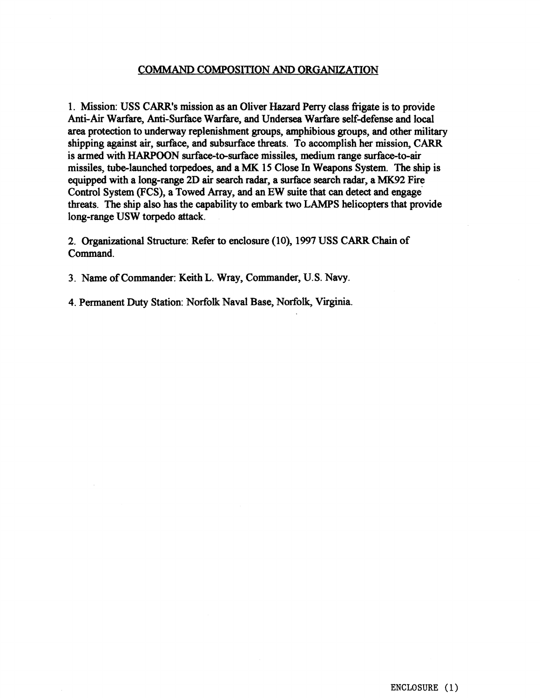#### COMMAND COMPOSITION AND ORGANIZATION

1. Mission: USS CARR's mission as an Oliver Hazard Perry class Erigate is to provide Anti-Air Warfare, Anti-Surface Warfare, and Undersea Warfare self-defense and local area protection to underway replenishment groups, amphibious groups, and other military shipping **against air,** surface, and subsurface threats. To accomplish her mission, CARR is armed with **HARPOON** surface-to-surface missiles, medium range surface-to-air missiles, tube-launched torpedoes, and a **MK** 15 Close In Weapons **System.** The ship is equipped with a long-range 2D air search radar, a surface search radar, a MK92 Fire Control System (FCS), a Towed Array, and an EW suite that can detect and **engage**  threats. The ship also has the capability to embark two LAMPS helicopters that provide long-range USW torpedo attack.

2. Organizational Structure: Refer to enclosure (10), 1997 USS CARR Chain of Command.

3. Name of Commander: Keith L. Wray, Commander, U. S. Navy.

4. Permanent Duty Station: Norfolk Naval Base, Norfolk, Virginia.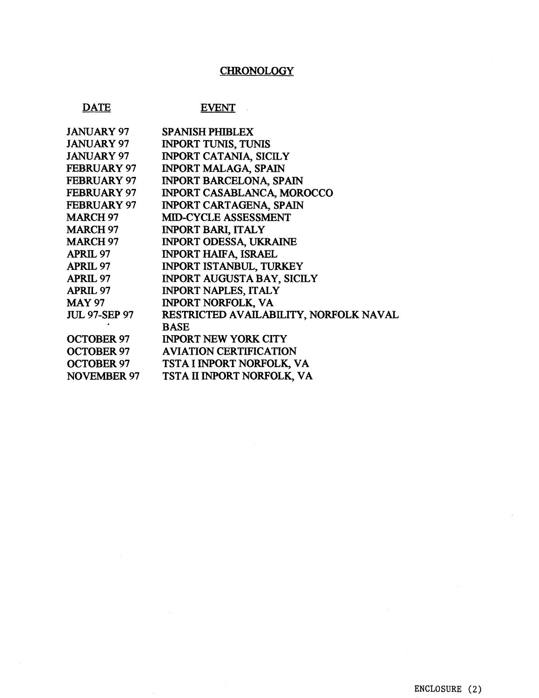# **CHRONOLOGY**

## **DATE**

## **EVENT**

| <b>JANUARY 97</b>    | <b>SPANISH PHIBLEX</b>                 |
|----------------------|----------------------------------------|
| <b>JANUARY 97</b>    | <b>INPORT TUNIS, TUNIS</b>             |
| <b>JANUARY 97</b>    | <b>INPORT CATANIA, SICILY</b>          |
| <b>FEBRUARY 97</b>   | <b>INPORT MALAGA, SPAIN</b>            |
| <b>FEBRUARY 97</b>   | <b>INPORT BARCELONA, SPAIN</b>         |
| <b>FEBRUARY 97</b>   | <b>INPORT CASABLANCA, MOROCCO</b>      |
| <b>FEBRUARY 97</b>   | <b>INPORT CARTAGENA, SPAIN</b>         |
| <b>MARCH 97</b>      | <b>MID-CYCLE ASSESSMENT</b>            |
| <b>MARCH 97</b>      | <b>INPORT BARI, ITALY</b>              |
| <b>MARCH 97</b>      | <b>INPORT ODESSA, UKRAINE</b>          |
| <b>APRIL 97</b>      | <b>INPORT HAIFA, ISRAEL</b>            |
| <b>APRIL 97</b>      | INPORT ISTANBUL, TURKEY                |
| <b>APRIL 97</b>      | <b>INPORT AUGUSTA BAY, SICILY</b>      |
| <b>APRIL 97</b>      | <b>INPORT NAPLES, ITALY</b>            |
| <b>MAY 97</b>        | <b>INPORT NORFOLK, VA</b>              |
| <b>JUL 97-SEP 97</b> | RESTRICTED AVAILABILITY, NORFOLK NAVAL |
|                      | <b>BASE</b>                            |
| <b>OCTOBER 97</b>    | <b>INPORT NEW YORK CITY</b>            |
| <b>OCTOBER 97</b>    | <b>AVIATION CERTIFICATION</b>          |
| <b>OCTOBER 97</b>    | TSTA I INPORT NORFOLK, VA              |
| <b>NOVEMBER 97</b>   | TSTA II INPORT NORFOLK, VA             |
|                      |                                        |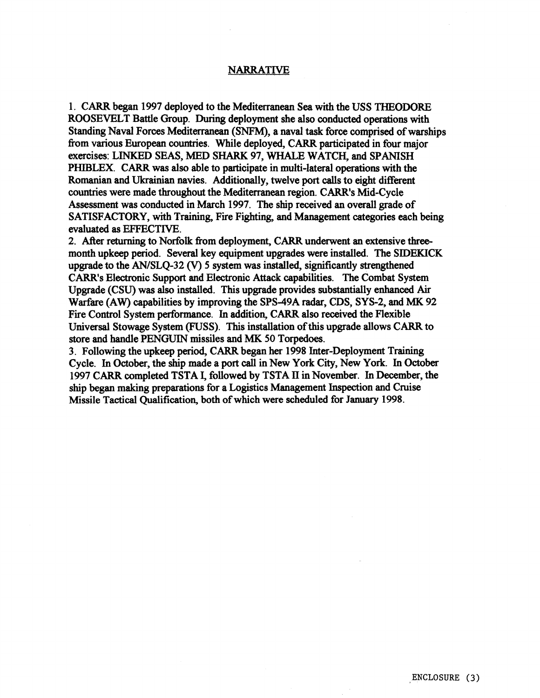#### NARRATIVE

1. CARR began 1997 deployed to the Mediterranean Sea with the USS THEODORE ROOSEVELT Battle Group. During deployment she also conducted operations with Standing Naval Forces Meditenanean (SNFM), **s** naval task force comprised of warships fiom various European countries. While deployed, CARR participated in four major exercises: **LINKED** SEAS, **MED** SHARK 97, **WHALE** WATCH, and SPANISH **PHIBLEX.** CARR was also able to participate in multi-lateral operations with the Romanian and Ukrainian navies. Additionally, twelve port calls to eight different countries were **made** throughout the Mediterranean region. CARR's Mid-Cycle Assessment **was** conducted in March 1997. **The** ship received an overall grade of SATISFACTORY, **with** Training, Fire Fighting, and Management categories each being evaluated **as EFFECTIVE.** 

2. ARer returning to Norfolk fiom deployment, CARR underwent an extensive **three**month upkeep period. Several key equipment upgrades were installed. The SIDEKICK upgrade to the AN/SLQ-32 **(V)** 5 system was installed, significantly strengthened **CARR's** Electronic Support and Electronic Attack capabilities. **The** Combat System Upgrade (CSU) was also installed. This upgrade provides substantially enhanced Air Warfare (AW) capabilities by improving the SPS-49A radar, CDS, SYS-2, and **MIS** 92 Fire Control System performance. In addition, CARR also received the Flexible Universal Stowage System (FUSS). This installation of **this** upgrade allows CARR to store **and** handle **PENGUIN** missiles and **MK** 50 Torpedoes.

3. Following the upkeep period, CARR began her 1998 Inter-Deployment Training Cycle. In October, the ship made a port call in New York City, New York. In October 1997 CARR completed TSTA **I,** followed by TSTA **ll** in November. In December, the ship began making preparations for a Logistics Management Inspection and Cruise Missile Tactical Qualiftcation, both of which were scheduled for January 1998.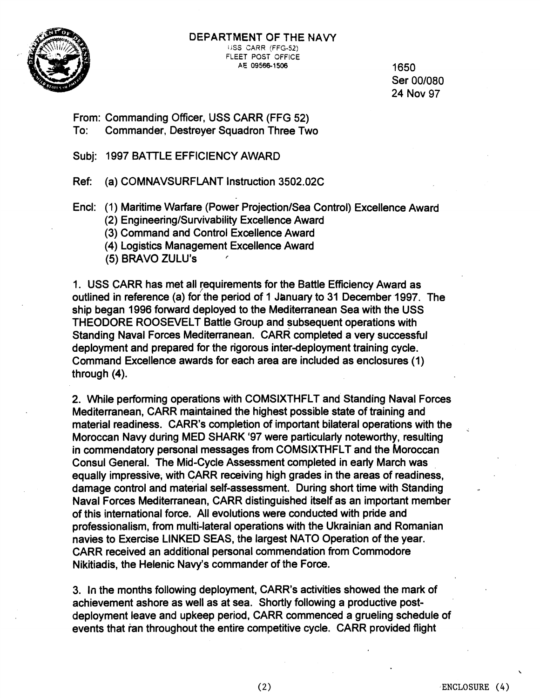

#### **DEPARTMENT OF THE NAVY**  USS CARR (FFG-52) FLEET POST OFFICE AE 09566-1506 **1650**

Ser 001080 24 Nov 97

From: Commanding Officer, USS CARR (FFG 52) To: Commander, Destroyer Squadron Three Two

Subj: 1997 BATTLE EFFICIENCY AWARD

Ref: (a) COMNAVSURFLANT Instruction 3502.026

Encl: (1) Maritime Warfare (Power Projection/Sea Control) Excellence Award

(2) **EngineeringlSurvivability** Excellence Award

(3) Command and Control Excellence Award

(4) Logistics Management Excellence Award

(5) BRAVO ZULU'S **<sup>I</sup>**

1. USS CARR has met all requirements for the Battle Efficiency Award as outlined in reference (a) for the period of 1 January to 31 December 1997. The ship began 1996 forward deployed to the Mediterranean Sea with the USS THEODORE ROOSEVELT Battle Group and subsequent operations with Standing Naval Forces Mediterranean. CARR completed a very successful deployment and prepared for the rigorous inter-deployment training cycle. Command Excellence awards for each area are included as enclosures (1) through (4).

2. While performing operations with COMSIXTHFLT and Standing Naval Forces Mediterranean, CARR maintained the highest possible state of training and material readiness. CARR's completion of important bilateral operations with the Moroccan Navy during MED SHARK '97 were particularly noteworthy, resulting in commendatory personal messages from COMSIXTHFLT and the Moroccan Consul General. The Mid-Cycle Assessment completed in early March was equally impressive, with CARR receiving high grades in the areas of readiness, damage control and material self-assessment. During short time with Standing Naval Forces Mediterranean, CARR distinguished itself as an important member of this international force. All evolutions were conducted with pride and professionalism, from multi-lateral operations with the Ukrainian and Romanian navies to Exercise LINKED SEAS, the largest NATO Operation of the year. CARR received an additional personal commendation from Commodore Nikitiadis, the Helenic Navy's commander of the Force.

3. In the months following deployment, CARR's activities showed the mark of achievement ashore as well as at sea. Shortly following a productive postdeployment leave and upkeep period, CARR commenced a grueling schedule of events that ran throughout the entire competitive cycle. CARR provided flight

-.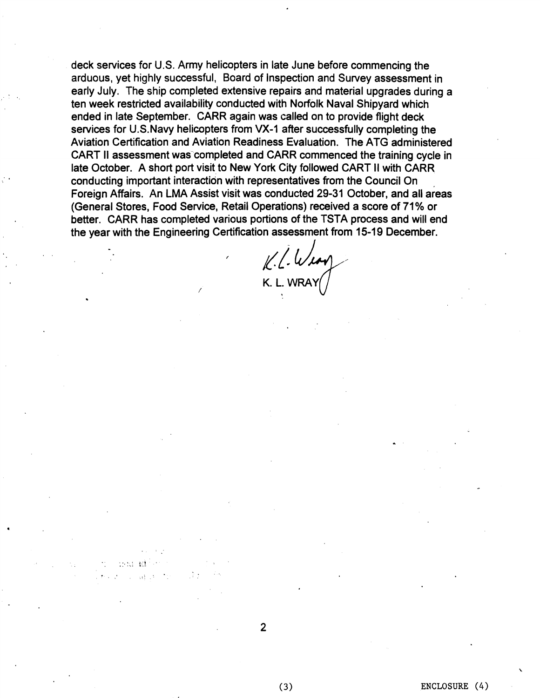deck services for U.S. Army helicopters in late June before commencing the arduous, yet highly successful, Board of Inspection and Survey assessment in early July. The ship completed extensive repairs and material upgrades during a ten week restricted availability conducted with Norfolk Naval Shipyard which ended in late September. CARR again was called on to provide flight deck services for U.S.Navy helicopters from VX-1 after successfully completing the Aviation Certification and Aviation Readiness Evaluation. The ATG administered CART II assessment was completed and CARR commenced the training cycle in late October. A short port visit to New York City followed CART II with CARR conducting important interaction with representatives from the Council On Foreign Affairs. An LMA Assist visit was conducted **29-31** October, and all areas (General Stores, Food Service, Retail Operations) received a score of **71%** or better. CARR has completed various portions of the TSTA process and will end the year with the Engineering Certification assessment from **15-19** December.

*I*   $k.l.$  Weary K. L. WRAY

 $(3)$ 

-.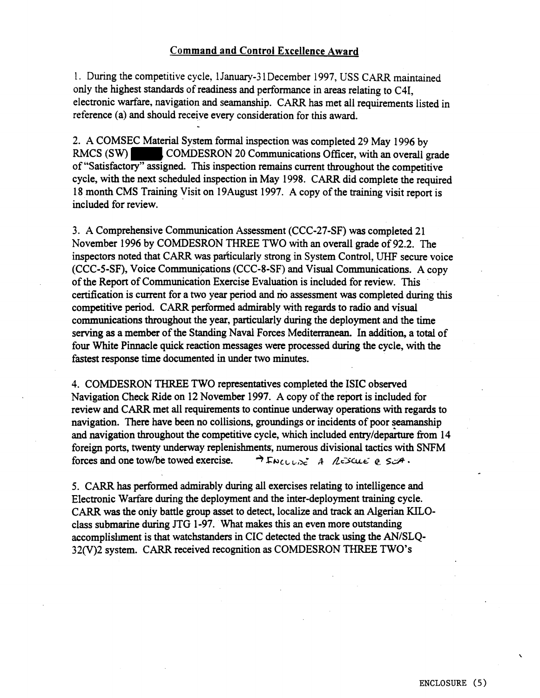### **Command and** Control **Excellence Award**

1. During the competitive cycle, **1January-3** 1 December 1997, USS CARR maintained only the highest standards of readiness and performance in areas relating to C41, electronic warfare, navigation and seamanship. CARR has met all requirements listed in reference (a) and should receive every consideration for this award.

2. A COMSEC Material System formal inspection was completed 29 May 1996 by RMCS  $(SW)$  COMDESRON 20 Communications Officer, with an overall grade of "Satisfactory" assigned. This inspection remains current throughout the competitive cycle, with the next scheduled inspection in May 1998. CARR did complete the required 18 month CMS Training Visit on 19August 1997. A copy of the training visit report is included for review.

3. A Comprehensive Communication Assessment (CCC-27-SF) was completed 21 November 1996 by COMDESRON THREE TWO with an overall grade of 92.2. The inspectors noted that CARR was particularly strong in System Control, UHF secure voice (CCC-5-SF), Voice Communications (CCC-8-SF) and Visual Communications. A copy of the Report of communication Exercise Evaluation is included for review. This certification is current for a two year period and no assessment was completed during this competitive period. CARR performed admirably with regards to radio and visual communications throughout the year, particularly during the deployment and the time serving as a member of the Standing Naval Forces Mediterranean. In addition, a total of four White Pinnacle quick reaction messages were processed during the cycle, with the fastest response time documented in under two minutes.

4. COMDESRON THREE TWO representatives completed the ISIC observed Navigation Check Ride on 12 November 1997. A copy of the report is included for review and CARR met all requirements to continue underway operations with regards to navigation. There have been no collisions, groundings or incidents of poor seamanship and navigation throughout the competitive cycle, which included entry/departure from 14 foreign ports, twenty underway replenishments; numerous divisional tactics with SNFM forces and one tow/be towed exercise.  $\rightarrow$   $F_{NCLL}$ ,  $\rightarrow$   $A$ ,  $A\in$   $SLH$ ,

5. CARR **has** performed admirably during all exercises relating to intelligence and Electronic Warfare during the deployment and the inter-deployment training cycle. CARR was the oniy battle group asset to detect, localize and track an Algerian KILOclass submarine during JTG 1-97. What makes this an even more outstanding accomplishment is that watchstanders in CIC detected the track using the AN/SLQ-32(V)2 system. CARR received recognition as COMDESRON THREE TWO'S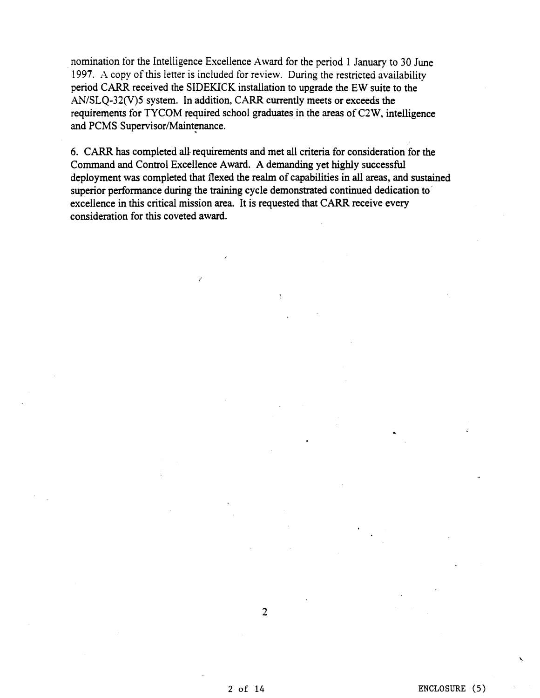nomination for the Intelligence Excellence Award for the period 1 January to 30 June 1997. **.A** copy of this letter is included for review. During the restricted availability period CARR received the SIDEKICK installation to upgrade the EW suite to the  $AN/SLQ-32(V)$ 5 system. In addition, CARR currently meets or exceeds the requirements for TYCOM required school graduates in the areas of C2W, intelligence and PCMS Supervisor/Maintenance.

6. CARR has completed all requirements and met all criteria for consideration for the Command and Control Excellence Award. A demanding yet highly successfid deployment was completed that flexed the realm of capabilities in all areas, and sustained superior performance during the training cycle demonstrated continued dedication to ' excellence in this critical mission area. It is requested that CARR receive every consideration for this coveted award.

2 of 14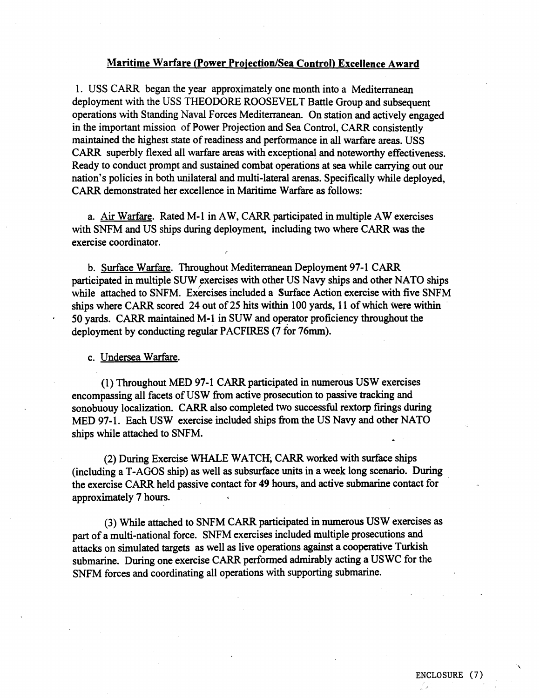#### **Maritime Warfare (Power Projection/Sea Control) Excellence Award**

1. USS CARR began the year approximately one month into a Mediterranean deployment with the USS THEODORE ROOSEVELT Battle Group and subsequent operations with Standing Naval Forces Mediterranean. On station and actively engaged in the important mission of Power Projection and Sea Control, CARR consistently maintained the highest state of readiness and performance in all warfare areas. USS CARR superbly flexed all warfare areas with exceptional and noteworthy effectiveness. Ready to conduct prompt and sustained combat operations at sea while carrying out our nation's policies in both unilateral and multi-lateral arenas. Specifically while deployed, CARR demonstrated her excellence in Maritime Warfare as follows:

a. Air Warfare. Rated M- 1 in **AW,** CARR participated in multiple AW exercises with SNFM and US ships during deployment, including two where CARR was the exercise coordinator.

**I** 

b. Surface Warfare. Throughout Mediterranean Deployment 97-1 CARR participated in multiple SUW exercises with other US Navy ships and other NATO ships while attached to SNFM. Exercises included a Surface Action exercise with five SNFM ships where CARR scored 24 out of 25 hits within 100 yards, 11 of which were within 50 yards. CARR maintained M-1 in SUW and operator proficiency throughout the deployment by conducting regular PACFIRES (7 for **76mm).** 

c. Undersea Warfare.

(1) Throughout MED 97-1 CARR participated in numerous USW exercises encompassing all facets of USW from active prosecution to passive tracking and sonobuouy localization. CARR also completed two successful rextorp firings during MED 97-1. Each USW exercise included ships from the US Navy and other NATO ships while attached to SNFM.

(2) During Exercise WHALE WATCH, CARR worked with surface ships (including a T-AGOS ship) as well as subsurface units in a week long scenario. During the exercise CARR held passive contact for 49 hours, and active submarine contact for approximately 7 hours.

(3) While attached to SNFM CARR participated in numerous US W exercises as part of a multi-national force. SNFM exercises included multiple prosecutions and attacks on simulated targets as well as live operations against a cooperative Turkish submarine. During one exercise CARR performed admirably acting a US WC for the SNFM forces and coordinating all operations with supporting submarine.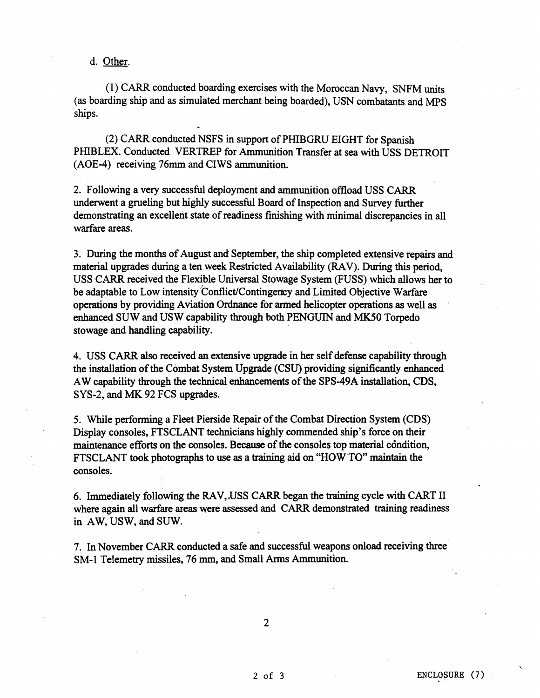d. Other.

(1) CARR conducted boarding exercises with the Moroccan Navy, SNFM units (as boarding ship and as simulated merchant being boarded), USN combatants and MPS ships.<br>
(2) CARR conducted NSFS in support of PHIBGRU EIGHT for Spanish

**PHIBLEX.** Conducted VERTREP for Ammunition Transfer at sea with USS DETROIT (AOE-4) receiving **76mm** and CIWS ammunition.

2. Following a very successful deployment and ammunition offload USS CARR underwent a grueling but highly successful Board of Inspection and Survey further demonstrating an excellent state of readiness finishing with minimal discrepancies in all warfare areas.

3. During the months of August and September, the ship completed extensive repairs and material upgrades during a ten week Restricted Availability (RAV). During this period, USS CARR received the Flexible Universal Stowage System (FUSS) which allows her to be adaptable to Low intensity Conflict/Contingency and Limited Objective Warfare operations by providing Aviation Ordnaoce for armed helicopter operations as well as enhanced SUW and USW capability through both PENGUIN and **MK50** Torpedo stowage and handling capability.

4. USS CARR also received an extensive upgrade in her self defense capability through the installation of the Combat System Upgrade (CSU) providing significantly enhanced AW capability through the technical enhancements of the SPS-49A installation, CDS, SYS-2, and **MK** 92 FCS upgrades.

5. While performing a Fleet Pierside Repair of the Combat Direction System (CDS) Display consoles, FTSCLANT technicians highly commended ship's force on their maintenance efforts on the consoles. Because of the consoles top material condition, FTSCLANT took photographs to use as a training aid on **"HOW** TO" maintain the consoles.

**6.** Immediately following the RAV, ,USS CARR began the training cycle with CART I1 where again all warfare areas were assessed and CARR demonstrated training readiness in AW, USW, and SUW.

**7.** In November CARR conducted a safe and successful weapons onload receiving three SM-1 Telemetry missiles, **76 mm,** and Small Arms Ammunition.

 $\overline{2}$